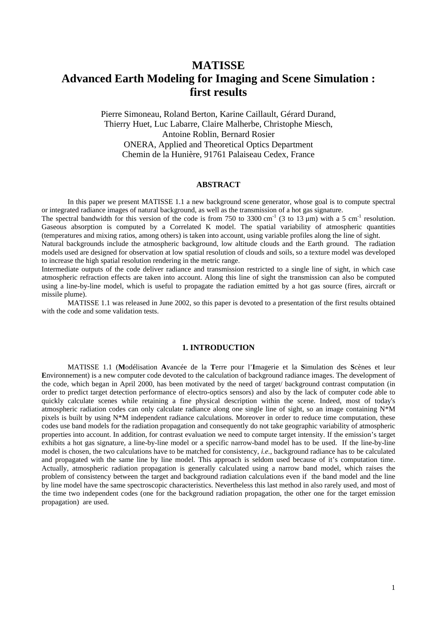# **MATISSE Advanced Earth Modeling for Imaging and Scene Simulation : first results**

Pierre Simoneau, Roland Berton, Karine Caillault, Gérard Durand, Thierry Huet, Luc Labarre, Claire Malherbe, Christophe Miesch, Antoine Roblin, Bernard Rosier ONERA, Applied and Theoretical Optics Department Chemin de la Hunière, 91761 Palaiseau Cedex, France

# **ABSTRACT**

In this paper we present MATISSE 1.1 a new background scene generator, whose goal is to compute spectral or integrated radiance images of natural background, as well as the transmission of a hot gas signature.

The spectral bandwidth for this version of the code is from 750 to 3300 cm<sup>-1</sup> (3 to 13  $\mu$ m) with a 5 cm<sup>-1</sup> resolution.  $^{-1}$  resolution. Gaseous absorption is computed by a Correlated K model. The spatial variability of atmospheric quantities (temperatures and mixing ratios, among others) is taken into account, using variable profiles along the line of sight.

Natural backgrounds include the atmospheric background, low altitude clouds and the Earth ground. The radiation models used are designed for observation at low spatial resolution of clouds and soils, so a texture model was developed to increase the high spatial resolution rendering in the metric range.

Intermediate outputs of the code deliver radiance and transmission restricted to a single line of sight, in which case atmospheric refraction effects are taken into account. Along this line of sight the transmission can also be computed using a line-by-line model, which is useful to propagate the radiation emitted by a hot gas source (fires, aircraft or missile plume).

MATISSE 1.1 was released in June 2002, so this paper is devoted to a presentation ofthe first results obtained with the code and some validation tests.

# **1. INTRODUCTION**

MATISSE 1.1 (**M**odélisation **A**vancée de la **T**erre pour l'**I**magerie et la **S**imulation des **S**cènes et leur **E**nvironnement) is a new computer code devoted to the calculation of background radiance images. The development of the code, which began in April 2000, has been motivated by the need of target/ background contrast computation (in order to predict target detection performance of electro-optics sensors) and also by the lack of computer code able to quickly calculate scenes while retaining a fine physical description within the scene. Indeed, most of today's atmospheric radiation codes can only calculate radiance along one single line of sight, so an image containing N\*M pixels is built by using N\*M independent radiance calculations. Moreover in order to reduce time computation, these codes use band models for the radiation propagation and consequently do not take geographic variability of atmospheric properties into account. In addition, for contrast evaluation we need to compute target intensity. If the emission's target exhibits a hot gas signature, a line-by-line model or a specific narrow-band model has to be used. If the line-by-line model is chosen, the two calculations have to be matched for consistency, *i.e.*, background radiance has to be calculated and propagated with the same line by line model. This approach is seldom used because of it's computation time. Actually, atmospheric radiation propagation is generally calculated using a narrow band model, which raises the problem of consistency between the target and background radiation calculations even if the band model and the line by line model have the same spectroscopic characteristics. Nevertheless this last method in also rarely used, and most of the time two independent codes (one for the background radiation propagation, the other one for the target emission propagation) are used.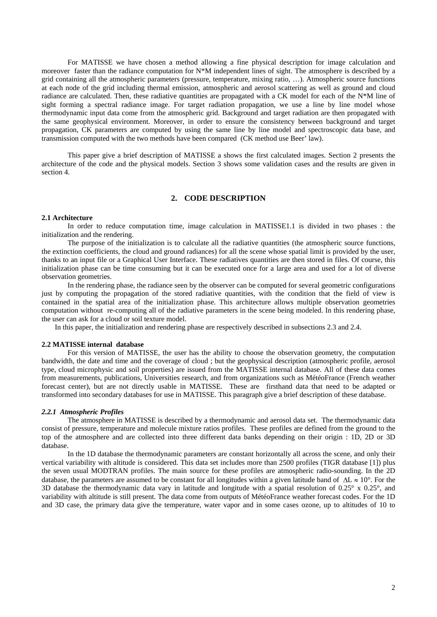For MATISSE we have chosen a method allowing a fine physical description for image calculation and moreover faster than the radiance computation for N\*M independent lines of sight. The atmosphere is described by a grid containing all the atmospheric parameters (pressure, temperature, mixing ratio, …). Atmospheric source functions at each node of the grid including thermal emission, atmospheric and aerosol scattering as well as ground and cloud radiance are calculated. Then, these radiative quantities are propagated with a CK model for each of the N\*M line of sight forming a spectral radiance image. For target radiation propagation, we use a line by line model whose thermodynamic input data come from the atmospheric grid. Background and target radiation are then propagated with the same geophysical environment. Moreover, in order to ensure the consistency between background and target propagation, CK parameters are computed by using the same line by line model and spectroscopic data base, and transmission computed with the two methods have been compared (CK method use Beer' law).

This paper give a brief description of MATISSE a shows the first calculated images. Section 2 presents the architecture of the code and the physical models. Section 3 shows some validation cases and the results are given in section 4.

# **2. CODE DESCRIPTION**

#### **2.1 Architecture**

In order to reduce computation time, image calculation in MATISSE1.1 is divided in two phases : the initialization and the rendering.<br>The purpose of the initialization is to calculate all the radiative quantities (the atmospheric source functions,

the extinction coefficients, the cloud and ground radiances) for all the scene whose spatial limit is provided by the user, thanks to an input file or a Graphical User Interface. These radiatives quantities are then stored in files. Of course, this initialization phase can be time consuming but it can be executed once for a large area and used for a lot of diverse observation geometries.

In the rendering phase, the radiance seen by the observer can be computed for several geometric configurations just by computing the propagation of the stored radiative quantities, with the condition that the field of view is contained in the spatial area of the initialization phase. This architecture allows multiple observation geometries computation without re-computing all of the radiative parameters in the scene being modeled. In this rendering phase, the user can ask for a cloud or soil texture model.

In this paper, the initialization and rendering phase are respectively described in subsections 2.3 and 2.4.

## **2.2 MATISSE internal database**

For this version of MATISSE, the user has the ability to choose the observation geometry, the computation bandwidth, the date and time and the coverage of cloud ; but the geophysical description (atmospheric profile, aerosol type, cloud microphysic and soil properties) are issued from the MATISSE internal database. All of these data comes from measurements, publications, Universities research, and from organizations such as MétéoFrance (French weather forecast center), but are not directly usable in MATISSE. These are firsthand data that need to be adapted or transformed into secondary databases for use in MATISSE. This paragraph give a brief description of these database.

#### *2.2.1 Atmospheric Profiles*

The atmosphere in MATISSE is described by a thermodynamic and aerosol data set. The thermodynamic data consist of pressure, temperature and molecule mixture ratios profiles. These profiles are defined from the ground to the top of the atmosphere and arecollected into three different data banks depending on their origin : 1D, 2D or 3D database. The contract of the contract of the contract of the contract of the contract of the contract of the contract of the contract of the contract of the contract of the contract of the contract of the contract of the

In the 1D database the thermodynamic parameters are constant horizontally all across the scene, and only their vertical variability with altitude is considered. This data set includes more than 2500 profiles (TIGR database [1]) plus the seven usual MODTRAN profiles. The main source for these profiles are atmospheric radio-sounding. In the 2D database, the parameters are assumed to be constant for all longitudes within a given latitude band of  $\Delta L \approx 10^{\circ}$ . For the 3D database the thermodynamic data vary in latitude and longitude with a spatial resolution of  $0.25^\circ$  x  $0.25^\circ$ , and variability with altitude is still present. The data come from outputs of MétéoFrance weather forecast codes. For the 1D and 3D case, the primary data give the temperature, water vapor and in some cases ozone, up to altitudes of 10 to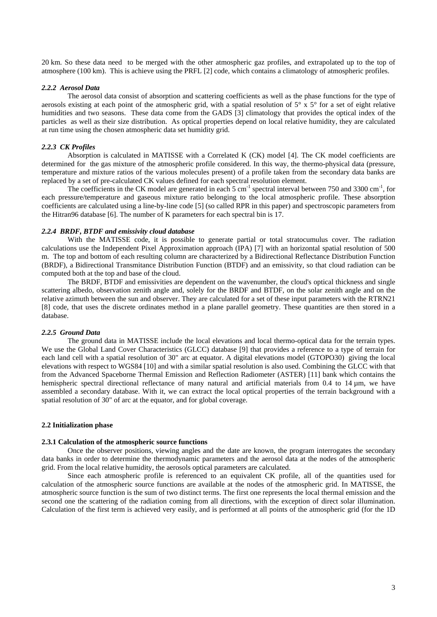20 km. So these data need to be merged with the other atmospheric gaz profiles, and extrapolated up to the top of atmosphere (100 km). This is achieve using the PRFL [2] code, which contains a climatology of atmospheric profiles.

#### *2.2.2 Aerosol Data*

The aerosol data consist of absorption and scattering coefficients as well as the phase functions for the type of aerosols existing at each point of the atmospheric grid, with a spatial resolution of  $5^\circ$  x  $5^\circ$  for a set of eight relative humidities and two seasons. These data come from the GADS [3] climatology that provides the optical index of the particles as well as their size distribution. As optical properties depend on local relative humidity, they are calculated at run time using the chosen atmospheric data set humidity grid.

#### *2.2.3 CK Profiles*

Absorption is calculated in MATISSE with a Correlated K (CK) model [4]. The CK model coefficients are determined for the gas mixture of the atmospheric profile considered. In this way, the thermo-physical data (pressure, temperature and mixture ratios of the various molecules present) of a profile taken from the secondary data banks are replaced by a set of pre-calculated CK values defined for each spectral resolution element.

The coefficients in the CK model are generated in each 5 cm<sup>-1</sup> spectral interval between 750 and 3300 cm<sup>-1</sup>, for each pressure/temperature and gaseous mixture ratio belonging to the local atmospheric profile. These absorption coefficients are calculated using a line-by-line code [5] (so called RPR in this paper) and spectroscopic parameters from the Hitran96 database [6]. The number of K parameters for each spectral bin is 17.

#### *2.2.4 BRDF, BTDF and emissivity cloud database*

With the MATISSE code, it is possible to generate partial or total stratocumulus cover. The radiation calculations use the Independent Pixel Approximation approach (IPA) [7] with an horizontal spatial resolution of 500 m. The top and bottom of each resulting column are characterized by a Bidirectional Reflectance Distribution Function (BRDF), a Bidirectional Transmitance Distribution Function (BTDF) and an emissivity, so that cloud radiation can be computed both at the top and base of the cloud.

The BRDF, BTDF and emissivities are dependent on the wavenumber, the cloud's optical thickness and single scattering albedo, observation zenith angle and, solely for the BRDF and BTDF, on the solar zenith angle and on the relative azimuth between the sun and observer. They are calculated for a set of these input parameters with the RTRN21 [8] code, that uses the discrete ordinates method in a plane parallel geometry. These quantities are then stored in a database. The contract of the contract of the contract of the contract of the contract of the contract of the contract of the contract of the contract of the contract of the contract of the contract of the contract of the

#### *2.2.5 Ground Data*

The ground data in MATISSE include the local elevations and local thermo-optical data for the terrain types. We use the Global Land Cover Characteristics (GLCC) database [9] that provides a reference to a type of terrain for each land cell with a spatial resolution of 30" arc at equator. A digital elevations model (GTOPO30) giving the local elevations with respect to WGS84 [10] and with a similar spatial resolution is also used. Combining the GLCC with that from the Advanced Spaceborne Thermal Emission and Reflection Radiometer (ASTER) [11] bank which contains the hemispheric spectral directional reflectance of many natural and artificial materials from  $0.4$  to  $14 \mu m$ , we have assembled a secondary database. With it, we can extract the local optical properties of the terrain background with a spatial resolution of 30" of arc at the equator, and for global coverage.

#### **2.2 Initialization phase**

#### **2.3.1 Calculation of the atmospheric source functions**

Once the observer positions, viewing angles and the date are known, the program interrogates the secondary data banks in order to determine the thermodynamic parameters and the aerosol data at the nodes of the atmospheric grid. From the local relative humidity, the aerosols optical parameters are calculated.

Since each atmospheric profile is referenced to an equivalent CK profile, all of the quantities used for calculation of the atmospheric source functions are available at the nodes of the atmospheric grid. In MATISSE, the atmospheric source function is the sum of two distinct terms. The first one represents the local thermal emission and the second one the scattering of the radiation coming from all directions, with the exception of direct solar illumination. Calculation of the first term is achieved very easily, and is performed at all points of the atmospheric grid (for the 1D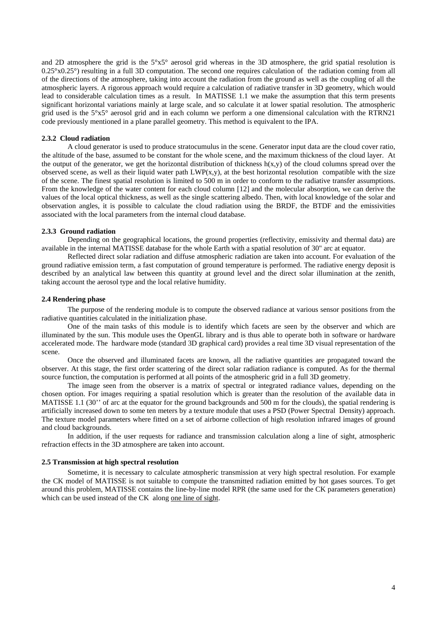and 2D atmosphere the grid is the 5°x5° aerosol grid whereas in the 3D atmosphere, the grid spatial resolution is  $0.25^{\circ}x0.25^{\circ}$ ) resulting in a full 3D computation. The second one requires calculation of the radiation coming from all of the directions of the atmosphere, taking into account the radiation from the ground as well as the coupling of all the atmospheric layers. A rigorous approach would require a calculation of radiative transfer in 3D geometry, which would lead to considerable calculation times as a result. In MATISSE 1.1 we make the assumption that this term presents significant horizontal variations mainly at large scale, and so calculate it at lower spatial resolution. The atmospheric grid used is the 5°x5° aerosol grid and in each column we perform aone dimensional calculation with the RTRN21 code previously mentioned in a plane parallel geometry. This method is equivalent to the IPA.

## **2.3.2 Cloud radiation**

A cloud generator is used to produce stratocumulus in the scene. Generator input data are the cloud cover ratio, the altitude of the base, assumed to be constant for the whole scene, and the maximum thickness of the cloud layer. At the output of the generator, we get the horizontal distribution of thickness  $h(x,y)$  of the cloud columns spread over the observed scene, as well as their liquid water path  $LWP(x,y)$ , at the best horizontal resolution compatible with the size of the scene. The finest spatial resolution is limited to 500 m in order to conform to the radiative transfer assumptions. From the knowledge of the water content for each cloud column [12] and the molecular absorption, we can derive the values of the local optical thickness, as well as the single scattering albedo. Then, with local knowledge of the solar and observation angles, it is possible to calculate the cloud radiation using the BRDF, the BTDF and the emissivities associated with the local parameters from the internal cloud database.

## **2.3.3 Ground radiation**

Depending on the geographical locations, the ground properties (reflectivity, emissivity and thermal data) are available in the internal MATISSE database for the whole Earth with a spatial resolution of 30" arc at equator.

Reflected direct solar radiation and diffuse atmospheric radiation are taken into account. For evaluation of the ground radiative emission term, a fast computation of ground temperature is performed. The radiative energy deposit is described by an analytical law between this quantity at ground level and the direct solar illumination at the zenith, taking account the aerosol type and the local relative humidity.

#### **2.4 Rendering phase**

The purpose of the rendering module is to compute the observed radiance at various sensor positions from the radiative quantities calculated in the initialization phase.

One of the main tasks of this module is to identify which facets are seen by the observer and which are illuminated by the sun. This module uses the OpenGL library and is thus able to operate both in software or hardware accelerated mode. The hardware mode (standard 3D graphical card) provides a real time 3D visual representation of the scene. The contract of the contract of the contract of the contract of the contract of the contract of the contract of the contract of the contract of the contract of the contract of the contract of the contract of the con

Once the observed and illuminated facets are known, all the radiative quantities are propagated toward the observer. At this stage, the first order scattering of the direct solar radiation radiance is computed. As for the thermal source function, the computation is performed at all points of the atmospheric grid in a full 3D geometry.

The image seen from the observer is a matrix of spectral or integrated radiance values, depending on the chosen option. For images requiring a spatial resolution which isgreater than the resolution of the available data in MATISSE 1.1 (30" of arc at the equator for the ground backgrounds and 500 m for the clouds), the spatial rendering is artificially increased down to some ten meters by a texture module that uses a PSD (Power Spectral Density) approach. The texture model parameters where fitted on a set of airborne collection of high resolution infrared images of ground and cloud backgrounds.

In addition, if the user requests for radiance and transmission calculation along a line of sight, atmospheric refraction effects in the 3D atmosphere are taken into account.

## **2.5 Transmission at high spectral resolution**

Sometime, it is necessary to calculate atmospheric transmission at very high spectral resolution. For example the CK model of MATISSE is not suitable to compute the transmitted radiation emitted by hot gases sources. To get around this problem, MATISSE contains the line-by-line model RPR (the same used for the CK parameters generation) which can be used instead of the CK along one line of sight.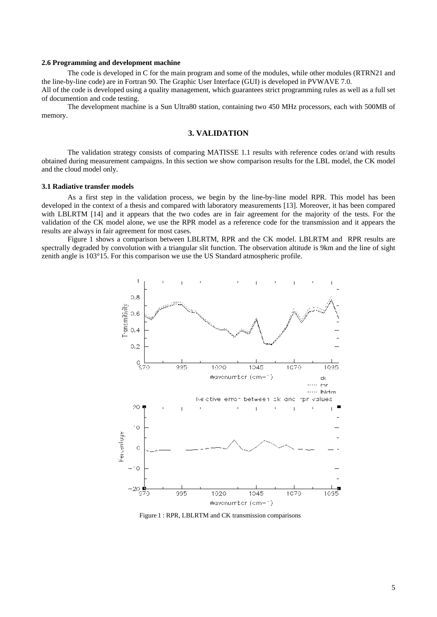# **2.6 Programming and development machine**

The code is developed in C for the main program and some of the modules, while other modules (RTRN21 and the line-by-line code) are in Fortran 90. The Graphic User Interface (GUI) is developed in PVWAVE 7.0.

All of the code is developed using a quality management, which guarantees strict programming rules as well as a full set of documention and code testing.

The development machine is a Sun Ultra80 station, containing two 450 MHz processors, each with 500MB of memory.

# **3. VALIDATION**

The validation strategy consists of comparing MATISSE 1.1 results with reference codes or/and with results obtained during measurement campaigns. In this section we show comparison results for the LBL model, the CK model and the cloud model only.

## **3.1 Radiative transfer models**

As a first step in the validation process, we begin by the line-by-line model RPR. This model has been developed in the context of a thesis and compared with laboratory measurements [13]. Moreover, it has been compared with LBLRTM [14] and it appears that the two codes are in fair agreement for the majority of the tests. For the validation of the CK model alone, we use the RPR model as a reference code for the transmission and it appears the results are always in fair agreement for most cases.

Figure 1 shows a comparison between LBLRTM, RPR and the CK model. LBLRTM and RPR results are spectrally degraded by convolution with a triangular slit function. The observation altitude is 9km and the line of sight zenith angle is 103°15. For this comparison we use the US Standard atmospheric profile.



Figure 1 : RPR, LBLRTM and CK transmission comparisons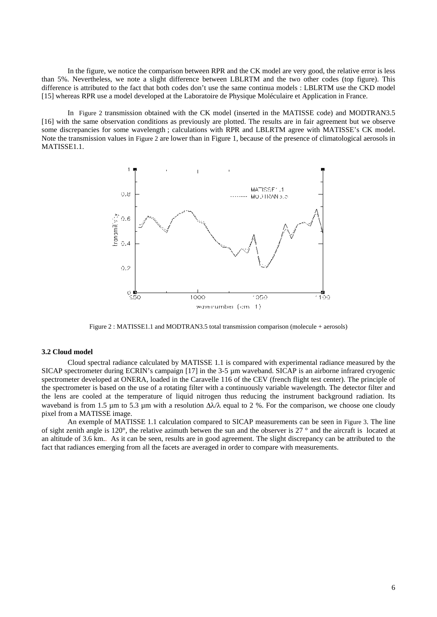In the figure, we notice the comparison between RPR and the CK model are very good, the relative error is less than 5%. Nevertheless, we note a slight difference between LBLRTM and the two other codes (top figure). This difference is attributed to the fact that both codes don't use the same continua models : LBLRTM use the CKD model [15] whereas RPR use a model developed at the Laboratoire de Physique Moléculaire et Application in France.

In Figure 2 transmission obtained with the CK model (inserted in the MATISSE code) and MODTRAN3.5 [16] with the same observation conditions as previously are plotted. The results are in fair agreementbut we observe some discrepancies for some wavelength ; calculations with RPR and LBLRTM agree with MATISSE's CK model. Note the transmission values in Figure 2 are lower than in Figure 1, because of the presence of climatological aerosols in MATISSE1.1. MATISSE1.1.



Figure 2 : MATISSE1.1 and MODTRAN3.5 total transmission comparison (molecule + aerosols)

#### **3.2 Cloud model**

Cloud spectral radiance calculated by MATISSE 1.1 is compared with experimental radiance measured by the SICAP spectrometer during ECRIN's campaign [17] in the 3-5  $\mu$ m waveband. SICAP is an airborne infrared cryogenic spectrometer developed at ONERA, loaded in the Caravelle 116 of the CEV (french flight test center). The principle of the spectrometer is based on the use of a rotating filter with a continuously variable wavelength. The detector filter and the lens are cooled at the temperature of liquid nitrogen thus reducing the instrument background radiation. Its waveband is from 1.5 µm to 5.3 µm with a resolution  $\Delta \lambda / \lambda$  equal to 2 %. For the comparison, we choose one cloudy pixel from a MATISSE image.

An exemple of MATISSE 1.1 calculation compared to SICAP measurements can be seen in Figure 3. The line of sight zenith angle is 120 $^{\circ}$ , the relative azimuth betwen the sun and the observer is 27 $^{\circ}$  and the aircraft is located at an altitude of 3.6 km.. As it can be seen, results are in good agreement. The slight discrepancy can be attributed to the fact that radiances emerging from all the facets are averaged in order to compare with measurements.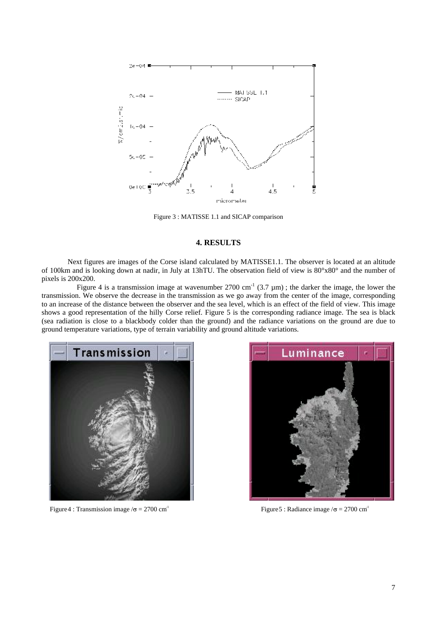

Figure 3 : MATISSE 1.1 and SICAP comparison

# **4. RESULTS**

Next figures are images of the Corse island calculated by MATISSE1.1. The observer is located at an altitude of 100km and is looking down at nadir, in July at 13hTU. The observation field of view is 80°x80° and the number of pixels is 200x200.

Figure 4 is a transmission image at wavenumber  $2700 \text{ cm}^{-1}$  (3.7 µm); the darker the image, the lower the transmission. We observe the decrease in the transmission as we go away from the center of the image, corresponding to an increase of the distance between the observer and the sea level, which is an effect of the field of view. This image shows a good representation of the hilly Corse relief. Figure 5 is the corresponding radiance image. The sea is black (sea radiation is close to a blackbody colder than the ground) and the radiance variations on the ground are due to ground temperature variations, type of terrain variability and ground altitude variations.



Figure 4 : Transmission image  $\sigma = 2700 \text{ cm}^1$ 



Figure 5 : Radiance image  $/\sigma = 2700 \text{ cm}^1$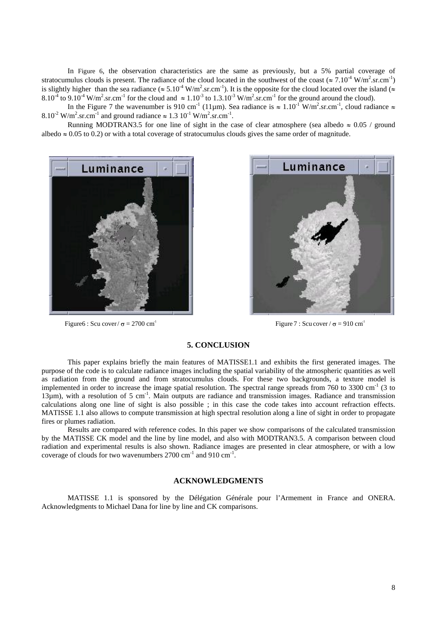In Figure 6, the observation characteristics are the same as previously, but a 5% partial coverage of stratocumulus clouds is present. The radiance of the cloud located in the southwest of the coast ( $\approx 7.10^{4}$  W/m<sup>2</sup>.sr.cm<sup>-1</sup>)  $4 \text{ W/m}^2.\text{sr.cm}^{-1}$ )  $2 \text{ cm}$  am<sup>-1</sup>)  $\text{sr.cm}^{-1}$ ) is slightly higher than the sea radiance ( $\approx 5.10^{4}$  W/m<sup>2</sup>.sr.cm<sup>-1</sup>). It is the opposite for the cloud located over the island ( $\approx$  $8.10^{-4}$  to  $9.10^{-4}$  W/m<sup>2</sup>.sr.cm<sup>-1</sup> for the cloud and  $\approx 1.10^{-3}$  to  $1.3.10^{-3}$  W/m<sup>2</sup>.sr.cm<sup>-1</sup> for the ground around the cloud).

In the Figure 7 the wavenumber is 910 cm<sup>-1</sup> (11µm). Sea radiance is  $\approx 1.10^{-1}$  W/m<sup>2</sup>.sr.cm<sup>-1</sup>, cloud radiance  $\approx$ <sup>-1</sup> W/m<sup>2</sup>.sr.cm<sup>-1</sup>, cloud radiance  $\approx$  $\text{sr.cm}^{-1}$ , cloud radiance  $\approx$ , cloud radiance  $\approx$  $8.10^{-2}$  W/m<sup>2</sup>.sr.cm<sup>-1</sup> and ground radiance  $\approx 1.3$  10<sup>-1</sup> W/m<sup>2</sup>.sr.cm<sup>-1</sup>.  $\text{sn.cm}^{-1}$ . . A construction of the construction of the construction of the construction of the construction of the constr<br>The construction of the construction of the construction of the construction of the construction of the constr

Running MODTRAN3.5 for one line of sight in the case of clear atmosphere (sea albedo  $\approx 0.05$  / ground albedo  $\approx 0.05$  to 0.2) or with a total coverage of stratocumulus clouds gives the same order of magnitude.



Figure 6 : Scu cover /  $\sigma = 2700 \text{ cm}^1$  Figure 7 : Scu cover /  $\sigma = 910 \text{ cm}^1$ 



# **5. CONCLUSION**

This paper explains briefly the main features of MATISSE1.1 and exhibits the first generated images. The purpose of the code is to calculate radiance images including the spatial variability of the atmospheric quantities as well as radiation from the ground and from stratocumulus clouds. For these two backgrounds, a texture model is implemented in order to increase the image spatial resolution. The spectral range spreads from 760 to 3300 cm<sup>-1</sup> (3 to  $^{1}$  (3 to 13µm), with a resolution of 5 cm<sup>-1</sup>. Main outputs are radiance and transmission images. Radiance and transmission calculations along one line of sight is also possible ; in this case the code takes into account refraction effects. MATISSE 1.1 also allows to compute transmission at high spectral resolution along a line of sight in order to propagate fires or plumes radiation.

Results are compared with reference codes. In this paper we show comparisons of the calculated transmission by the MATISSE CK model and the line by line model, and also with MODTRAN3.5. A comparison between cloud radiation and experimental results is also shown. Radiance images are presented in clear atmosphere, or with a low coverage of clouds for two wavenumbers  $2700 \text{ cm}^{-1}$  and  $910 \text{ cm}^{-1}$ . . A construction of the construction of the construction of the construction of the construction of the construction of the construction of the construction of the construction of the construction of the construction of th

# **ACKNOWLEDGMENTS**

MATISSE 1.1 is sponsored by the Délégation Générale pour l'Armement in France and ONERA.<br>Acknowledgments to Michael Dana for line by line and CK comparisons.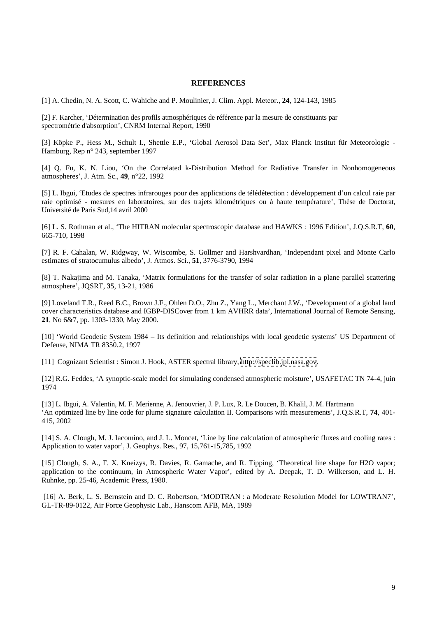# **REFERENCES**

[1] A. Chedin, N. A. Scott, C. Wahiche and P. Moulinier, J. Clim. Appl. Meteor., **24**, 124-143, 1985

[2] F. Karcher, 'Détermination des profils atmosphériques de référence par la mesure de constituants par spectrométrie d'absorption', CNRM Internal Report, 1990

[3] Köpke P., Hess M., Schult I., Shettle E.P., 'Global Aerosol Data Set', Max Planck Institut für Meteorologie - Hamburg, Rep n° 243, september 1997

[4] Q. Fu, K. N. Liou, 'On the Correlated k-Distribution Method for Radiative Transfer in Nonhomogeneous atmospheres', J. Atm. Sc., **49**, n°22, 1992

[5] L. Ibgui, 'Etudes de spectres infrarouges pour des applications de télédétection : développement d'un calcul raie par raie optimisé - mesures en laboratoires, sur des trajets kilométriques ou à haute température', Thèse de Doctorat, Université de Paris Sud,14 avril 2000

[6] L. S. Rothman et al., 'The HITRAN molecular spectroscopic database and HAWKS : 1996 Edition', J.Q.S.R.T, **60**, 665-710, 1998

[7] R. F. Cahalan, W. Ridgway, W. Wiscombe, S. Gollmer and Harshvardhan, 'Independant pixel and Monte Carlo estimates of stratocumulus albedo', J. Atmos. Sci., **51**, 3776-3790, 1994

[8] T. Nakajima and M. Tanaka, 'Matrix formulations for the transfer of solar radiation in a plane parallel scattering atmosphere', JQSRT, **35**, 13-21, 1986

[9] Loveland T.R., Reed B.C., Brown J.F., Ohlen D.O., Zhu Z., Yang L., Merchant J.W., 'Development of a global land cover characteristics database and IGBP-DISCover from 1 km AVHRR data', International Journal of Remote Sensing, **21**, No 6&7, pp. 1303-1330, May 2000.

[10] 'World Geodetic System 1984 – Its definition and relationships with local geodetic systems' US Department of Defense, NIMA TR 8350.2, 1997

[11] Cognizant Scientist : Simon J. Hook, ASTER spectral library,<http://speclib.jpl.nasa.gov>.

[12] R.G. Feddes, 'A synoptic-scale model for simulating condensed atmospheric moisture', USAFETAC TN 74-4, juin 1974

[13] L. Ibgui, A. Valentin, M. F. Merienne, A. Jenouvrier, J. P. Lux, R. Le Doucen, B. Khalil, J. M. Hartmann 'An optimized line by line code for plume signature calculation II. Comparisons with measurements', J.Q.S.R.T, **74**, 401- 415, 2002

[14] S. A. Clough, M. J. Iacomino, and J. L. Moncet, 'Line by line calculation of atmospheric fluxes and cooling rates : Application to water vapor', J. Geophys. Res., 97, 15,761-15,785, 1992

[15] Clough, S. A., F. X. Kneizys, R. Davies, R. Gamache, and R. Tipping, 'Theoretical line shape for H2O vapor; application to the continuum, in Atmospheric Water Vapor', edited by A. Deepak, T. D. Wilkerson, and L. H. Ruhnke, pp. 25-46, Academic Press, 1980.

 [16] A. Berk, L. S. Bernstein and D. C. Robertson, 'MODTRAN : a Moderate Resolution Model for LOWTRAN7', GL-TR-89-0122, Air Force Geophysic Lab., Hanscom AFB, MA, 1989